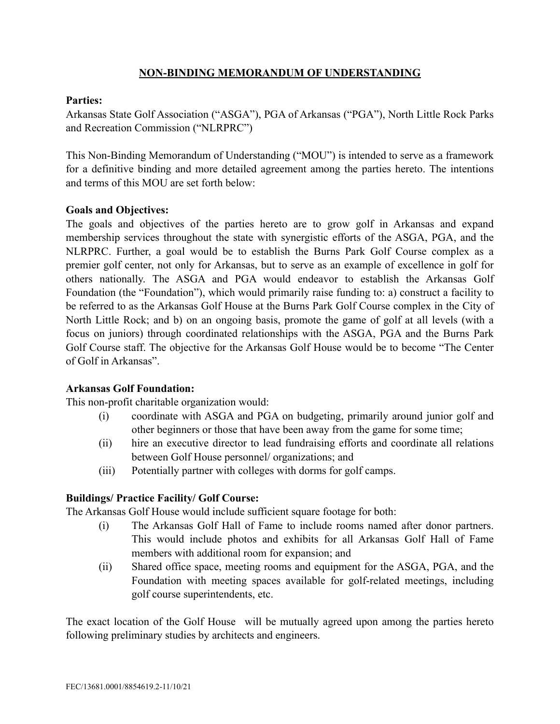## **NON-BINDING MEMORANDUM OF UNDERSTANDING**

### **Parties:**

Arkansas State Golf Association ("ASGA"), PGA of Arkansas ("PGA"), North Little Rock Parks and Recreation Commission ("NLRPRC")

This Non-Binding Memorandum of Understanding ("MOU") is intended to serve as a framework for a definitive binding and more detailed agreement among the parties hereto. The intentions and terms of this MOU are set forth below:

### **Goals and Objectives:**

The goals and objectives of the parties hereto are to grow golf in Arkansas and expand membership services throughout the state with synergistic efforts of the ASGA, PGA, and the NLRPRC. Further, a goal would be to establish the Burns Park Golf Course complex as a premier golf center, not only for Arkansas, but to serve as an example of excellence in golf for others nationally. The ASGA and PGA would endeavor to establish the Arkansas Golf Foundation (the "Foundation"), which would primarily raise funding to: a) construct a facility to be referred to as the Arkansas Golf House at the Burns Park Golf Course complex in the City of North Little Rock; and b) on an ongoing basis, promote the game of golf at all levels (with a focus on juniors) through coordinated relationships with the ASGA, PGA and the Burns Park Golf Course staff. The objective for the Arkansas Golf House would be to become "The Center of Golf in Arkansas".

## **Arkansas Golf Foundation:**

This non-profit charitable organization would:

- (i) coordinate with ASGA and PGA on budgeting, primarily around junior golf and other beginners or those that have been away from the game for some time;
- (ii) hire an executive director to lead fundraising efforts and coordinate all relations between Golf House personnel/ organizations; and
- (iii) Potentially partner with colleges with dorms for golf camps.

## **Buildings/ Practice Facility/ Golf Course:**

The Arkansas Golf House would include sufficient square footage for both:

- (i) The Arkansas Golf Hall of Fame to include rooms named after donor partners. This would include photos and exhibits for all Arkansas Golf Hall of Fame members with additional room for expansion; and
- (ii) Shared office space, meeting rooms and equipment for the ASGA, PGA, and the Foundation with meeting spaces available for golf-related meetings, including golf course superintendents, etc.

The exact location of the Golf House will be mutually agreed upon among the parties hereto following preliminary studies by architects and engineers.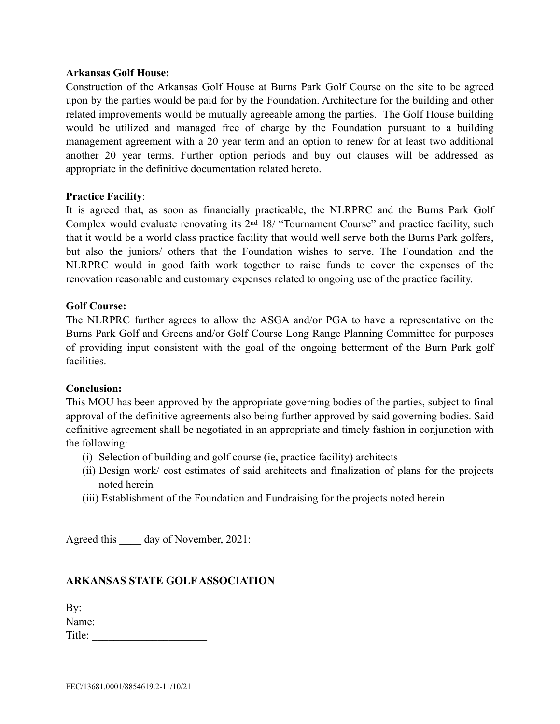#### **Arkansas Golf House:**

Construction of the Arkansas Golf House at Burns Park Golf Course on the site to be agreed upon by the parties would be paid for by the Foundation. Architecture for the building and other related improvements would be mutually agreeable among the parties. The Golf House building would be utilized and managed free of charge by the Foundation pursuant to a building management agreement with a 20 year term and an option to renew for at least two additional another 20 year terms. Further option periods and buy out clauses will be addressed as appropriate in the definitive documentation related hereto.

#### **Practice Facility**:

It is agreed that, as soon as financially practicable, the NLRPRC and the Burns Park Golf Complex would evaluate renovating its 2nd 18/ "Tournament Course" and practice facility, such that it would be a world class practice facility that would well serve both the Burns Park golfers, but also the juniors/ others that the Foundation wishes to serve. The Foundation and the NLRPRC would in good faith work together to raise funds to cover the expenses of the renovation reasonable and customary expenses related to ongoing use of the practice facility.

#### **Golf Course:**

The NLRPRC further agrees to allow the ASGA and/or PGA to have a representative on the Burns Park Golf and Greens and/or Golf Course Long Range Planning Committee for purposes of providing input consistent with the goal of the ongoing betterment of the Burn Park golf facilities.

#### **Conclusion:**

This MOU has been approved by the appropriate governing bodies of the parties, subject to final approval of the definitive agreements also being further approved by said governing bodies. Said definitive agreement shall be negotiated in an appropriate and timely fashion in conjunction with the following:

- (i) Selection of building and golf course (ie, practice facility) architects
- (ii) Design work/ cost estimates of said architects and finalization of plans for the projects noted herein
- (iii) Establishment of the Foundation and Fundraising for the projects noted herein

Agreed this day of November, 2021:

#### **ARKANSAS STATE GOLF ASSOCIATION**

| By:    |  |  |
|--------|--|--|
| Name:  |  |  |
| Title: |  |  |